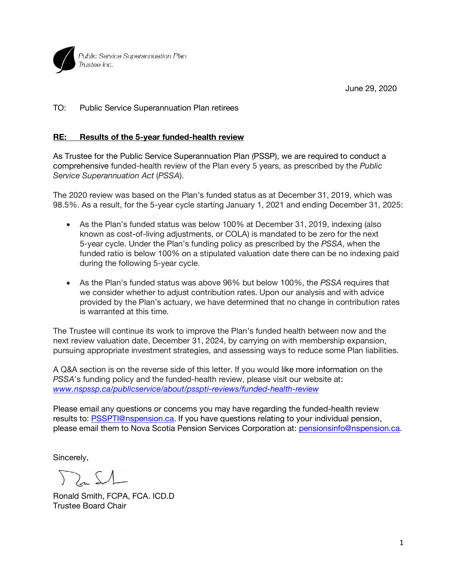

June 29, 2020

TO: Public Service Superannuation Plan retirees

## **RE: Results of the 5-year funded-health review**

As Trustee for the Public Service Superannuation Plan (PSSP), we are required to conduct a comprehensive funded-health review of the Plan every 5 years, as prescribed by the *Public Service Superannuation Act* (*PSSA*).

The 2020 review was based on the Plan's funded status as at December 31, 2019, which was 98.5%. As a result, for the 5-year cycle starting January 1, 2021 and ending December 31, 2025:

- As the Plan's funded status was below 100% at December 31, 2019, indexing (also known as cost-of-living adjustments, or COLA) is mandated to be zero for the next 5-year cycle. Under the Plan's funding policy as prescribed by the *PSSA*, when the funded ratio is below 100% on a stipulated valuation date there can be no indexing paid during the following 5-year cycle.
- As the Plan's funded status was above 96% but below 100%, the *PSSA* requires that we consider whether to adjust contribution rates. Upon our analysis and with advice provided by the Plan's actuary, we have determined that no change in contribution rates is warranted at this time.

The Trustee will continue its work to improve the Plan's funded health between now and the next review valuation date, December 31, 2024, by carrying on with membership expansion, pursuing appropriate investment strategies, and assessing ways to reduce some Plan liabilities.

A Q&A section is on the reverse side of this letter. If you would like more information on the *PSSA*'s funding policy and the funded-health review, please visit our website at: *www.nspssp.ca/publicservice/about/psspti-reviews/funded-health-review*

Please email any questions or concerns you may have regarding the funded-health review results to: PSSPTI@nspension.ca. If you have questions relating to your individual pension, please email them to Nova Scotia Pension Services Corporation at: pensionsinfo@nspension.ca.

Sincerely,

 $\sum_{n} 51$ 

Ronald Smith, FCPA, FCA. ICD.D Trustee Board Chair